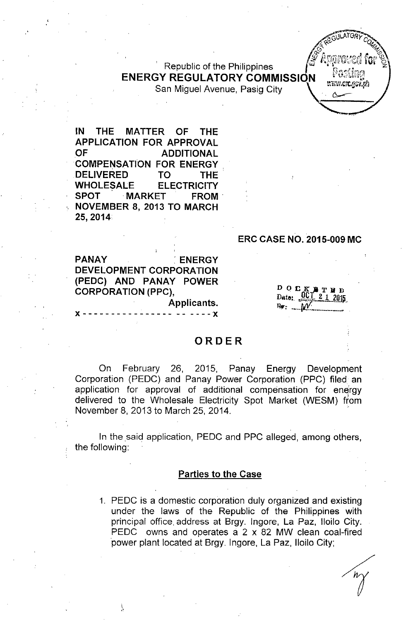# $R$  epublic of the Philippines  $ENERGY REGULATORY COMMISSIQN$   $\frac{VQGLI1Q}{WWW, CTC, GGL, 2g}$



San Miguel Avenue, Pasig City

IN THE MATTER OF THE APPLICATION FOR APPROVAL OF ADDITIONAL COMPENSATION FOR ENERGY DELIVERED TO THE WHOLESALE ELECTRICITY SPOT MARKET FROM NOVEMBER 8,2013 TO MARCH 25,2014

#### ERC CASE NO. 2015-009 MC

PANAY **ENERGY** DEVELOPMENT CORPORATION (PEDC) AND PANAY POWER CORPORATION (PPC),

x---------------- -- ----'X

\ "

Applicants.

 $D$  O  $C$   $K$   $T$   $T$   $R$   $D$ Date:

#### ORDER

On February 26, 2015, Panay Energy Development Corporation (PEDC) and Panay Power Corporation (PPC) filed an application for approval of additional compensation for energy delivered to the Wholesale Electricity Spot Market (WESM) from November 8, 2013 to March 25, 2014.

In the said application, PEDC and PPC alleged, among others, the following:

#### Parties to the Case

1, PEDC is a domestic corporation duly organized and existing under the laws of the Republic of the Philippines with principal office, address at Brgy. Ingore, La Paz, Iloilo City. PEDC owns and operates a 2 x 82 MW clean coal-fired power plant located at Brgy, Ingore, La Paz, Iloilo City;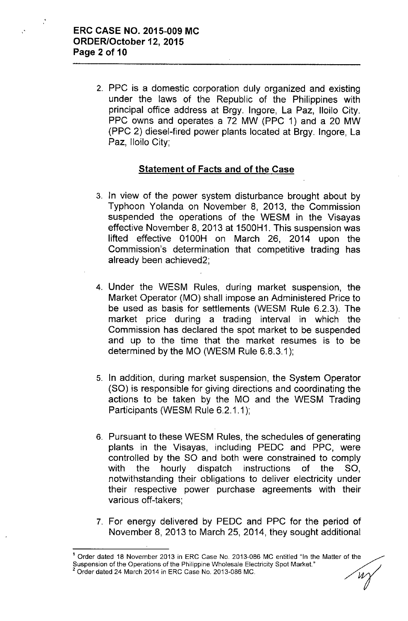2. PPC is a domestic corporation duly organized and existing under the laws of the Republic of the Philippines with principal office address at Brgy. Ingore, La Paz, Iloilo City. PPC owns and operates a 72 MW (PPC 1) and a 20 MW (PPC 2) diesel-fired power plants located at Brgy. Ingore, La Paz, Iloilo City;

### Statement of Facts and of the Case

- 3. In view of the power system disturbance brought about by Typhoon Yolanda on November 8, 2013, the Commission suspended the operations of the WESM in the Visayas effective November 8,2013 at 1500H1. This suspension was lifted effective 0100H on March 26, 2014 upon the Commission's determination that competitive trading has already been achieved2;
- 4. Under the WESM Rules, during market suspension, the Market Operator (MO) shall impose an Administered Price to be used as basis for settlements (WESM Rule 6.2.3). The market price during a trading interval in which the Commission has declared the spot market to be suspended and up to the time that the market resumes is to be determined by the MO (WESM Rule 6.8.3.1);
- 5. In addition, during market suspension, the System Operator (SO) is responsible for giving directions and coordinating the actions to be taken by the MO and the WESM Trading Participants (WESM Rule 6.2.1.1);
- 6. Pursuant to these WESM Rules, the schedules of generating plants in the Visayas, including PEDC and PPC, were controlled by the SO and both were constrained to comply with the hourly dispatch instructions of the SO, notwithstanding their obligations to deliver electricity under their respective power purchase agreements with their various off-takers;
- 7. For energy delivered by PEDC and PPC for the period of November 8, 2013 to March 25, 2014, they sought additional

<sup>&#</sup>x27; Order dated 18 November 2013 in ERC Case No. 2013-086 MC entitled "In the Matter of the The Order dated 18 November 2013 in ERC Case No. 2013-086 MC entitled "In the Matter of the Suspension of the Operations of the Philippine Wholesale Electricity Spot Market." Suspension of the Operations of the Philippine Wholesale Electricity Spot Market."<br><sup>2</sup> Order dated 24 March 2014 in ERC Case No. 2013-086 MC.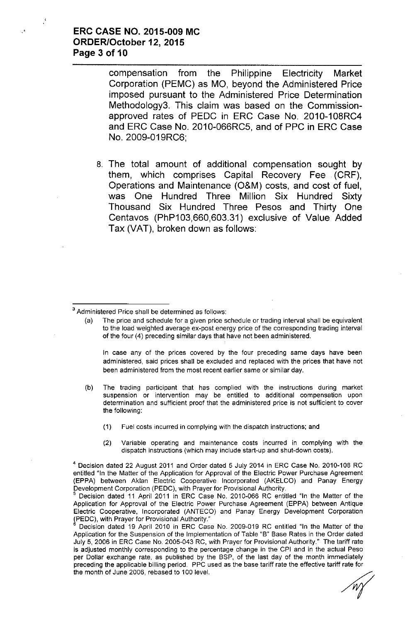### **ERC CASE NO. 2015-009 MC ORDER/October** 12, **2015 Page 3 of 10**

compensation from the Philippine Electricity Market Corporation (PEMC) as **MO,** beyond the Administered Price imposed pursuant to the Administered Price Determination Methodology3. This claim was based on the Commissionapproved rates of PEDC in ERC Case No. 2010-108RC4 and ERC Case No. 2010-066RC5, and of PPC in ERC Case No. 2009-019RC6;

8. The total amount of additional compensation sought by them, which comprises Capital Recovery Fee (CRF), Operations and Maintenance (O&M) costs, and cost of fuel, was One Hundred Three Million Six Hundred Sixty Thousand Six Hundred Three Pesos and Thirty One Centavos (PhP103,660,603.31) exclusive of Value Added Tax (VAT), broken down as follows:

(a) The price and schedule for a given price schedule or trading interval shall be equivalent to the load weighted average ex-post energy price of the corresponding trading interval of the four (4) preceding similar days that have not been administered.

In case any of the prices covered by the four preceding same days have been administered, said prices shall be excluded and replaced with the prices that have not been administered from the most recent earlier same or similar day.

- (b) The trading participant that has complied with the instructions during market suspension or intervention may be entitled to additional compensation upon determination and sufficient proof that the administered price is not sufficient to cover the following:
	- (1) Fuel costs incurred in complying with the dispatch instructions; and
	- (2) Variable operating and maintenance costs incurred in complying with the dispatch instructions (which may include start-up and shut-down costs).

4 Decision dated 22 August 2011 and Order dated 5 July 2014 in ERC Case No. 2010-108 RC entitled "In the Matter of the Application for Approval of the Electric Power Purchase Agreement (EPPA) between Aklan Electric Cooperative Incorporated (AKELCO) and Panay Energy Development Corporation (PEDC), with Prayer for Provisional Authority.

5 Decision dated 11 April 2011 in ERC Case No. 2010-066 RC entitled "In the Matter of the Application for Approval of the Electric Power Purchase Agreement (EPPA) between Antique Electric Cooperative, Incorporated (ANTECO) and Panay Energy Development Corporation ~PEDC), with Prayer for Provisional Authority."

Decision dated 19 April 2010 in ERC Case No. 2009-019 RC entitled "In the Matter of the Application for the Suspension of the Implementation of Table "B" Base Rates in the Order dated July 5, 2006 in ERC Case No. 2005-043 RC, with Prayer for Provisional Authority." The *tariff* rate is adjusted monthly corresponding to the percentage change in the CPI and in the actual Peso per Dollar exchange rate, as published by the BSP, of the last day of the month immediately preceding the applicable billing period. PPC used as the base tariff rate the *effective tariff* rate for the month of June 2006, rebased to 100 level.

<sup>3</sup> Administered Price shall be determined as follows: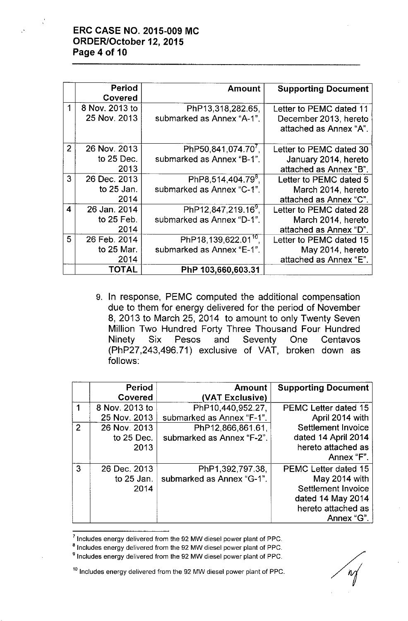# ERC CASE NO. 2015-009 MC ORDER/October 12,2015 Page 4 of 10

|                  | Period         | <b>Amount</b>                      | <b>Supporting Document</b> |
|------------------|----------------|------------------------------------|----------------------------|
|                  | <b>Covered</b> |                                    |                            |
| 1                | 8 Nov. 2013 to | PhP13,318,282.65,                  | Letter to PEMC dated 11    |
|                  | 25 Nov. 2013   | submarked as Annex "A-1".          | December 2013, hereto      |
|                  |                |                                    | attached as Annex "A".     |
|                  |                |                                    |                            |
| $\overline{2}$   | 26 Nov. 2013   | PhP50,841,074.70',                 | Letter to PEMC dated 30    |
|                  | to 25 Dec.     | submarked as Annex "B-1".          | January 2014, hereto       |
|                  | 2013           |                                    | attached as Annex "B".     |
| 3                | 26 Dec. 2013   | PhP8,514,404.79 <sup>8</sup> .     | Letter to PEMC dated 5     |
|                  | to $25$ Jan.   | submarked as Annex "C-1".          | March 2014, hereto         |
|                  | 2014           |                                    | attached as Annex "C".     |
| $\boldsymbol{4}$ | 26 Jan. 2014   | PhP12,847,219.16 <sup>9</sup> ,    | Letter to PEMC dated 28    |
|                  | to $25$ Feb.   | submarked as Annex "D-1".          | March 2014, hereto         |
|                  | 2014           |                                    | attached as Annex "D".     |
| 5                | 26 Feb. 2014   | PhP18, 139, 622.01 <sup>10</sup> . | Letter to PEMC dated 15    |
|                  | to 25 Mar.     | submarked as Annex "E-1".          | May 2014, hereto           |
|                  | 2014           |                                    | attached as Annex "E".     |
|                  | <b>TOTAL</b>   | PhP 103,660,603.31                 |                            |

9. In response, PEMC computed the additional compensation due to them for energy delivered for the period of November 8, 2013 to March 25, 2014 to amount to only Twenty Seven Million Two Hundred Forty Three Thousand Four Hundred Ninety Six Pesos and Seventy One Centavos (PhP27,243,496.71) exclusive of VAT, broken down as follows:

|                | <b>Period</b>  | <b>Amount</b>             | <b>Supporting Document</b>  |
|----------------|----------------|---------------------------|-----------------------------|
|                | <b>Covered</b> | (VAT Exclusive)           |                             |
|                | 8 Nov. 2013 to | PhP10,440,952.27,         | <b>PEMC Letter dated 15</b> |
|                | 25 Nov. 2013   | submarked as Annex "F-1". | April 2014 with             |
| $\overline{2}$ | 26 Nov. 2013   | PhP12,866,861.61,         | <b>Settlement Invoice</b>   |
|                | to 25 Dec.     | submarked as Annex "F-2". | dated 14 April 2014         |
|                | 2013           |                           | hereto attached as          |
|                |                |                           | Annex "F".                  |
| 3              | 26 Dec. 2013   | PhP1,392,797.38,          | <b>PEMC Letter dated 15</b> |
|                | to $25$ Jan.   | submarked as Annex "G-1". | May 2014 with               |
|                | 2014           |                           | Settlement Invoice          |
|                |                |                           | dated 14 May 2014           |
|                |                |                           | hereto attached as          |
|                |                |                           | Annex "G".                  |

 $<sup>7</sup>$  includes energy delivered from the 92 MW diesel power plant of PPC.</sup>

<sup>8</sup> Includes energy delivered from the 92 MW diesel power plant of PPC.

<sup>&</sup>lt;sup>9</sup> Includes energy delivered from the 92 MW diesel power plant of PPC.

<sup>&</sup>lt;sup>10</sup> Includes energy delivered from the 92 MW diesel power plant of PPC.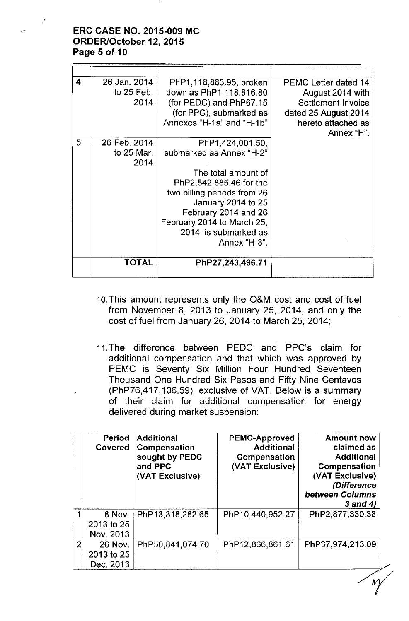# ERC CASE NO. 2015-009 MC ORDER/October 12,2015 Page 5 of 10

| 4 | 26 Jan. 2014 | PhP1,118,883.95, broken     | <b>PEMC Letter dated 14</b> |
|---|--------------|-----------------------------|-----------------------------|
|   | to 25 Feb.   | down as PhP1,118,816.80     | August 2014 with            |
|   | 2014         | (for PEDC) and PhP67.15     | Settlement Invoice          |
|   |              | (for PPC), submarked as     | dated 25 August 2014        |
|   |              | Annexes "H-1a" and "H-1b"   | hereto attached as          |
|   |              |                             | Annex "H".                  |
| 5 | 26 Feb. 2014 | PhP1,424,001.50,            |                             |
|   | to $25$ Mar. | submarked as Annex "H-2"    |                             |
|   | 2014         |                             |                             |
|   |              | The total amount of         |                             |
|   |              | PhP2,542,885.46 for the     |                             |
|   |              | two billing periods from 26 |                             |
|   |              | January 2014 to 25          |                             |
|   |              | February 2014 and 26        |                             |
|   |              | February 2014 to March 25,  |                             |
|   |              | 2014 is submarked as        |                             |
|   |              | Annex "H-3".                |                             |
|   |              |                             |                             |
|   | <b>TOTAL</b> | PhP27,243,496.71            |                             |
|   |              |                             |                             |

- 10.This amount represents only the O&M cost and cost of fuel from November 8, 2013 to January 25, 2014, and only the cost of fuel from January 26, 2014 to March 25, 2014;
- 11.The difference between PEDC and PPC's claim for additional compensation and that which was approved by PEMC is Seventy Six Million Four Hundred Seventeen Thousand One Hundred Six Pesos and Fifty Nine Centavos (PhP76,417,106.59), exclusive of VAT. Below is a summary of their claim for additional compensation for energy delivered during market suspension:

|                | <b>Period</b><br>Covered           | <b>Additional</b><br>Compensation<br>sought by PEDC<br>and PPC<br>(VAT Exclusive) | <b>PEMC-Approved</b><br><b>Additional</b><br>Compensation<br>(VAT Exclusive) | <b>Amount now</b><br>claimed as<br><b>Additional</b><br>Compensation<br>(VAT Exclusive)<br>(Difference<br><b>between Columns</b><br>3 and 4) |
|----------------|------------------------------------|-----------------------------------------------------------------------------------|------------------------------------------------------------------------------|----------------------------------------------------------------------------------------------------------------------------------------------|
|                | 8 Nov.<br>2013 to 25<br>Nov. 2013  | PhP13,318,282.65                                                                  | PhP10,440,952.27                                                             | PhP2,877,330.38                                                                                                                              |
| $\overline{2}$ | 26 Nov.<br>2013 to 25<br>Dec. 2013 | PhP50,841,074.70                                                                  | PhP12,866,861.61                                                             | PhP37,974,213.09                                                                                                                             |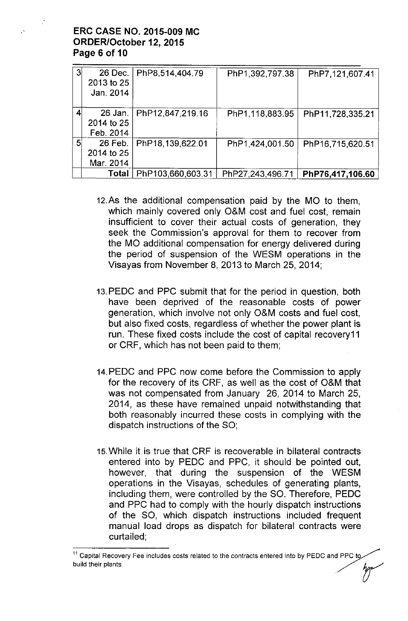# **ERC CASE NO. 2015-009 MC ORDER/October 12, 2015 Page 6 of 10**

| 3 | 26 Dec.<br>2013 to 25<br>Jan. 2014   | PhP8,514,404.79   | PhP1,392,797.38  | PhP7,121,607.41  |
|---|--------------------------------------|-------------------|------------------|------------------|
|   | 26 Jan.  <br>2014 to 25<br>Feb. 2014 | PhP12,847,219.16  | PhP1.118,883.95  | PhP11,728,335.21 |
| 5 | 26 Feb.<br>2014 to 25<br>Mar. 2014   | PhP18,139,622.01  | PhP1,424,001.50  | PhP16,715,620.51 |
|   | Total                                | PhP103,660,603.31 | PhP27,243,496.71 | PhP76,417,106.60 |

- 12.As the additional compensation paid by the MO to them, which mainly covered only O&M cost and fuel cost, remain insufficient to cover their actual costs **of** generation, they seek the Commission's approval for them to recover from the MO additional compensation for energy delivered during the period of suspension of the WESM operations in the Visayas from November 8,2013 to March 25, 2014;
- 13.PEDC and PPC submit that for the period in question, both have been deprived of the reasonable costs of power generation, which involve not only O&M costs and fuel cost, but also fixed costs, regardless of whether the power plant is run. These fixed costs include the cost of capital recovery11 or CRF, which has not been paid to them;
- 14.PEDC and PPC now come before the Commission to apply for the recovery of its CRF, as well as the cost of O&M that was not compensated from January 26, 2014 to March 25, 2014, as these have remained unpaid notwithstanding that both reasonably incurred these costs in complying with the dispatch instructions of the SO;
- 15.While it is true that CRF is recoverable in bilateral contracts entered into by PEDC and PPC, it should be pointed out, however, that during the suspension of the WESM operations in the Visayas, schedules of generating plants, including them, were controlled by the SO. Therefore, PEDC and PPC had to comply with the hourly dispatch instructions of the SO, which dispatch instructions included frequent manual load drops as dispatch for bilateral contracts were curtailed;

 $11$  Capital Recovery Fee includes costs related to the contracts entered into by PEDC and PPC to build their plants.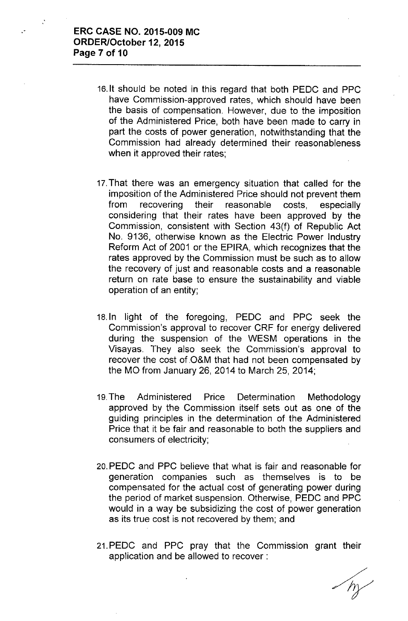- 16.lt should be noted in this regard that both **PEDC** and PPC have Commission-approved rates, which should have been the basis of compensation. However, due to the imposition of the Administered Price, both have been made to carry in part the costs of power generation, notwithstanding that the Commission had already determined their reasonableness when it approved their rates:
- 17.That there was an emergency situation that called for the imposition of the Administered Price should not prevent them from recovering their reasonable costs, especially considering that their rates have been approved by the Commission, consistent with Section 43(f) of Republic Act No. 9136, otherwise known as the Electric Power Industry Reform Act of 2001 or the EPIRA, which recognizes that the rates approved by the Commission must be such as to allow the recovery of just and reasonable costs and a reasonable return on rate base to ensure the sustainability and viable operation of an entity;
- 18.ln light of the foregoing, PEDC and PPC seek the Commission's approval to recover CRF for energy delivered during the suspension of the WESM operations in the Visayas. They also seek the Commission's approval to recover the cost of O&M that had not been compensated by the MO from January 26, 2014 to March 25, 2014;
- 19.The Administered Price Determination Methodology approved by the Commission itself sets out as one of the guiding principles in the determination of the Administered Price that it be fair and reasonable to both the suppliers and consumers of electricity;
- 20.PEDC and PPC believe that what is fair and reasonable for generation companies such as themselves is to be compensated for the actual cost of generating power during the period of market suspension. Otherwise, PEDC and PPC would in a way be subsidizing the cost of power generation as its true cost is not recovered by them; and
- 21.PEDC and PPC pray that the Commission grant their application and be allowed to recover: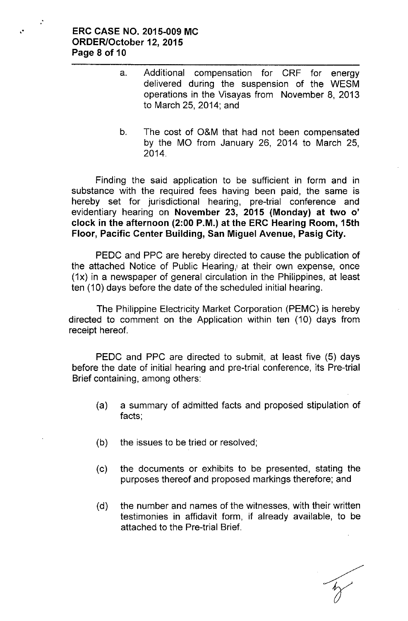- a. Additional compensation for CRF for energy delivered during the suspension of the WESM operations in the Visayas from November 8, 2013 to March 25, 2014; and
- b. The cost of O&M that had not been compensated by the MO from January 26, 2014 to March 25, 2014.

Finding the said application to be sufficient in form and in substance with the required fees having been paid, the same is hereby set for jurisdictional hearing, pre-trial conference and evidentiary hearing on November 23, 2015 (Monday) at two 0' clock in the afternoon (2:00 P.M.) at the ERC Hearing Room, 15th Floor, Pacific Center Building, San Miguel Avenue, Pasig City.

PEDC and PPC are hereby directed to cause the publication of the attached Notice of Public Hearing, at their own expense, once (1x) in a newspaper of general circulation in the Philippines, at least ten (10) days before the date of the scheduled initial hearing.

The Philippine Electricity Market Corporation (PEMC) is hereby directed to comment on the Application within ten (10) days from receipt hereof.

PEDC and PPC are directed to submit, at least five (5) days before the date of initial hearing and pre-trial conference, its Pre-trial Brief containing, among others:

- (a) a summary of admitted facts and proposed stipulation of facts;
- (b) the issues to be tried or resolved;
- (c) the documents or exhibits to be presented, stating the purposes thereof and proposed markings therefore; and
- (d) the number and names of the witnesses, with their written testimonies in affidavit form, if already available, to be attached to the Pre-trial Brief.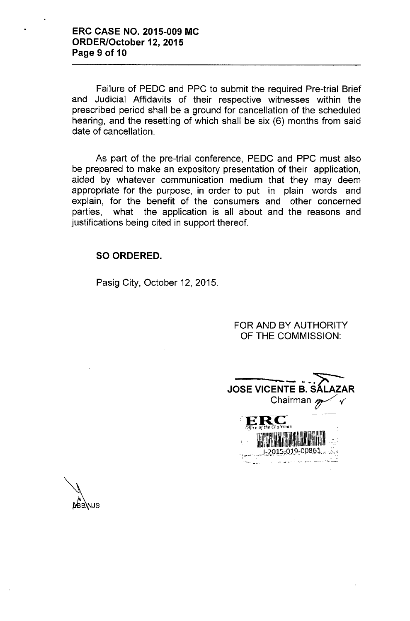Failure of PEDC and PPC to submit the required Pre-trial Brief and Judicial Affidavits of their respective witnesses within the prescribed period shall be a ground for cancellation of the scheduled hearing, and the resetting of which shall be six (6) months from said date of cancellation.

As part of the pre-trial conference, PEDC and PPC must also be prepared to make an expository presentation of their application, aided by whatever communication medium that they may deem appropriate for the purpose, in order to put in plain words and explain, for the benefit of the consumers and other concerned parties, what the application is all about and the reasons and justifications being cited in support thereof.

## SO ORDERED.

Pasig City, October 12, 2015.

FOR AND BY AUTHORITY OF THE COMMISSION:

JOSE VICENTE B. SÁLAZ*I* ENTE B. SALAZAR<br>Chairman  $\overbrace{r}$  $\mathbf{E}\mathbf{R}\mathbf{C}$  -  $\mathbf{F}$ <sup>I</sup> *Office of the C/wirman .*  $\cdots \quad \mathbb{R}$  . An extend the property  $\cdots$ J-2015-019-00861 I •••

*l*ebinjs